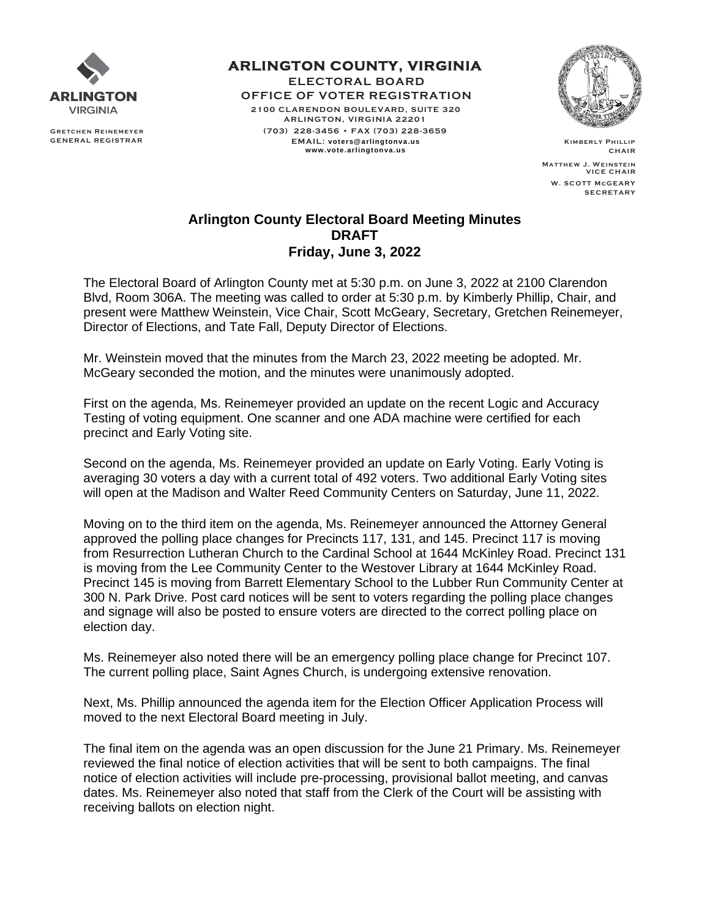

**GRETCHEN REINEMEYER GENERAL REGISTRAR**  **ARLINGTON COUNTY, VIRGINIA ELECTORAL BOARD OFFICE OF VOTER REGISTRATION 2100 CLARENDON BOULEVARD, SUITE 320 ARLINGTON, VIRGINIA 22201 (703) 228-3456 • FAX (703) 228 -3659 EMAIL: voters@arlingtonva.us www.vote.arlingtonva.us**



**K im ber ly P hillip CH AI R**

**MATTHEW J. WEINSTEIN**<br>VICE CHAIR  **W. SC OTT McGE AR Y S E C RE T AR Y**

## **Arlington County Electoral Board Meeting Minutes DRAFT Friday, June 3, 2022**

The Electoral Board of Arlington County met at 5:30 p.m. on June 3, 2022 at 2100 Clarendon Blvd, Room 306A. The meeting was called to order at 5:30 p.m. by Kimberly Phillip, Chair, and present were Matthew Weinstein, Vice Chair, Scott McGeary, Secretary, Gretchen Reinemeyer, Director of Elections, and Tate Fall, Deputy Director of Elections.

Mr. Weinstein moved that the minutes from the March 23, 2022 meeting be adopted. Mr. McGeary seconded the motion, and the minutes were unanimously adopted.

First on the agenda, Ms. Reinemeyer provided an update on the recent Logic and Accuracy Testing of voting equipment. One scanner and one ADA machine were certified for each precinct and Early Voting site.

Second on the agenda, Ms. Reinemeyer provided an update on Early Voting. Early Voting is averaging 30 voters a day with a current total of 492 voters. Two additional Early Voting sites will open at the Madison and Walter Reed Community Centers on Saturday, June 11, 2022.

Moving on to the third item on the agenda, Ms. Reinemeyer announced the Attorney General approved the polling place changes for Precincts 117, 131, and 145. Precinct 117 is moving from Resurrection Lutheran Church to the Cardinal School at 1644 McKinley Road. Precinct 131 is moving from the Lee Community Center to the Westover Library at 1644 McKinley Road. Precinct 145 is moving from Barrett Elementary School to the Lubber Run Community Center at 300 N. Park Drive. Post card notices will be sent to voters regarding the polling place changes and signage will also be posted to ensure voters are directed to the correct polling place on election day.

Ms. Reinemeyer also noted there will be an emergency polling place change for Precinct 107. The current polling place, Saint Agnes Church, is undergoing extensive renovation.

Next, Ms. Phillip announced the agenda item for the Election Officer Application Process will moved to the next Electoral Board meeting in July.

The final item on the agenda was an open discussion for the June 21 Primary. Ms. Reinemeyer reviewed the final notice of election activities that will be sent to both campaigns. The final notice of election activities will include pre-processing, provisional ballot meeting, and canvas dates. Ms. Reinemeyer also noted that staff from the Clerk of the Court will be assisting with receiving ballots on election night.